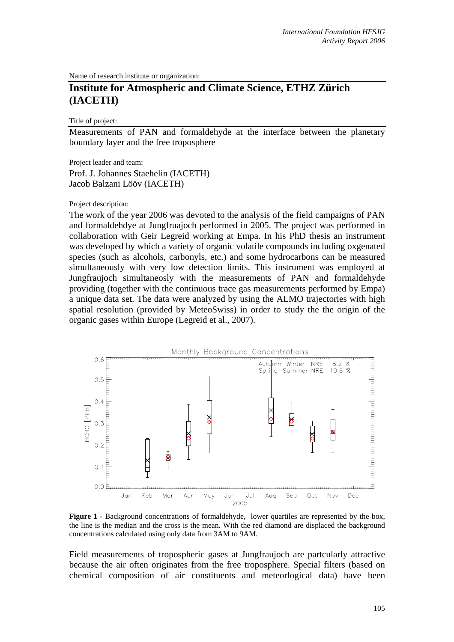Name of research institute or organization:

## **Institute for Atmospheric and Climate Science, ETHZ Zürich (IACETH)**

Title of project:

Measurements of PAN and formaldehyde at the interface between the planetary boundary layer and the free troposphere

Project leader and team:

Prof. J. Johannes Staehelin (IACETH) Jacob Balzani Lööv (IACETH)

## Project description:

The work of the year 2006 was devoted to the analysis of the field campaigns of PAN and formaldehdye at Jungfruajoch performed in 2005. The project was performed in collaboration with Geir Legreid working at Empa. In his PhD thesis an instrument was developed by which a variety of organic volatile compounds including oxgenated species (such as alcohols, carbonyls, etc.) and some hydrocarbons can be measured simultaneously with very low detection limits. This instrument was employed at Jungfraujoch simultaneosly with the measurements of PAN and formaldehyde providing (together with the continuous trace gas measurements performed by Empa) a unique data set. The data were analyzed by using the ALMO trajectories with high spatial resolution (provided by MeteoSwiss) in order to study the the origin of the organic gases within Europe (Legreid et al., 2007).



Figure 1 - Background concentrations of formaldehyde, lower quartiles are represented by the box, the line is the median and the cross is the mean. With the red diamond are displaced the background concentrations calculated using only data from 3AM to 9AM.

Field measurements of tropospheric gases at Jungfraujoch are partcularly attractive because the air often originates from the free troposphere. Special filters (based on chemical composition of air constituents and meteorlogical data) have been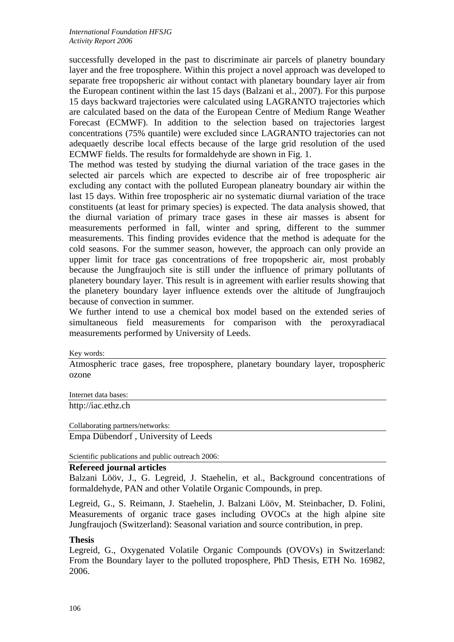successfully developed in the past to discriminate air parcels of planetry boundary layer and the free troposphere. Within this project a novel approach was developed to separate free tropopsheric air without contact with planetary boundary layer air from the European continent within the last 15 days (Balzani et al., 2007). For this purpose 15 days backward trajectories were calculated using LAGRANTO trajectories which are calculated based on the data of the European Centre of Medium Range Weather Forecast (ECMWF). In addition to the selection based on trajectories largest concentrations (75% quantile) were excluded since LAGRANTO trajectories can not adequaetly describe local effects because of the large grid resolution of the used ECMWF fields. The results for formaldehyde are shown in Fig. 1.

The method was tested by studying the diurnal variation of the trace gases in the selected air parcels which are expected to describe air of free tropospheric air excluding any contact with the polluted European planeatry boundary air within the last 15 days. Within free tropospheric air no systematic diurnal variation of the trace constituents (at least for primary species) is expected. The data analysis showed, that the diurnal variation of primary trace gases in these air masses is absent for measurements performed in fall, winter and spring, different to the summer measurements. This finding provides evidence that the method is adequate for the cold seasons. For the summer season, however, the approach can only provide an upper limit for trace gas concentrations of free tropopsheric air, most probably because the Jungfraujoch site is still under the influence of primary pollutants of planetery boundary layer. This result is in agreement with earlier results showing that the planetery boundary layer influence extends over the altitude of Jungfraujoch because of convection in summer.

We further intend to use a chemical box model based on the extended series of simultaneous field measurements for comparison with the peroxyradiacal measurements performed by University of Leeds.

Key words:

Atmospheric trace gases, free troposphere, planetary boundary layer, tropospheric ozone

Internet data bases:

http://iac.ethz.ch

Collaborating partners/networks:

Empa Dübendorf , University of Leeds

Scientific publications and public outreach 2006:

## **Refereed journal articles**

Balzani Lööv, J., G. Legreid, J. Staehelin, et al., Background concentrations of formaldehyde, PAN and other Volatile Organic Compounds, in prep.

Legreid, G., S. Reimann, J. Staehelin, J. Balzani Lööv, M. Steinbacher, D. Folini, Measurements of organic trace gases including OVOCs at the high alpine site Jungfraujoch (Switzerland): Seasonal variation and source contribution, in prep.

## **Thesis**

Legreid, G., Oxygenated Volatile Organic Compounds (OVOVs) in Switzerland: From the Boundary layer to the polluted troposphere, PhD Thesis, ETH No. 16982, 2006.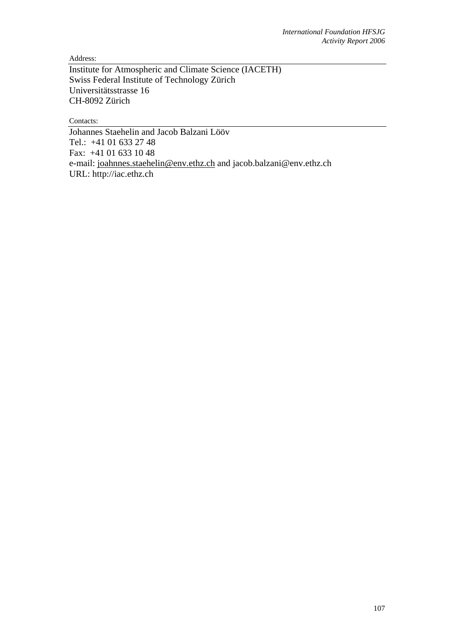Address:

Institute for Atmospheric and Climate Science (IACETH) Swiss Federal Institute of Technology Zürich Universitätsstrasse 16 CH-8092 Zürich

Contacts:

Johannes Staehelin and Jacob Balzani Lööv Tel.: +41 01 633 27 48 Fax: +41 01 633 10 48 e-mail: joahnnes.staehelin@env.ethz.ch and jacob.balzani@env.ethz.ch URL: http://iac.ethz.ch